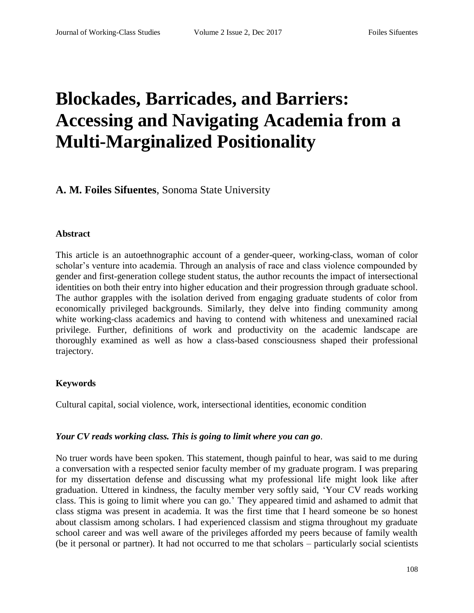# **Blockades, Barricades, and Barriers: Accessing and Navigating Academia from a Multi-Marginalized Positionality**

# **A. M. Foiles Sifuentes**, Sonoma State University

#### **Abstract**

This article is an autoethnographic account of a gender-queer, working-class, woman of color scholar's venture into academia. Through an analysis of race and class violence compounded by gender and first-generation college student status, the author recounts the impact of intersectional identities on both their entry into higher education and their progression through graduate school. The author grapples with the isolation derived from engaging graduate students of color from economically privileged backgrounds. Similarly, they delve into finding community among white working-class academics and having to contend with whiteness and unexamined racial privilege. Further, definitions of work and productivity on the academic landscape are thoroughly examined as well as how a class-based consciousness shaped their professional trajectory.

#### **Keywords**

Cultural capital, social violence, work, intersectional identities, economic condition

#### *Your CV reads working class. This is going to limit where you can go.*

No truer words have been spoken. This statement, though painful to hear, was said to me during a conversation with a respected senior faculty member of my graduate program. I was preparing for my dissertation defense and discussing what my professional life might look like after graduation. Uttered in kindness, the faculty member very softly said, 'Your CV reads working class. This is going to limit where you can go.' They appeared timid and ashamed to admit that class stigma was present in academia. It was the first time that I heard someone be so honest about classism among scholars. I had experienced classism and stigma throughout my graduate school career and was well aware of the privileges afforded my peers because of family wealth (be it personal or partner). It had not occurred to me that scholars – particularly social scientists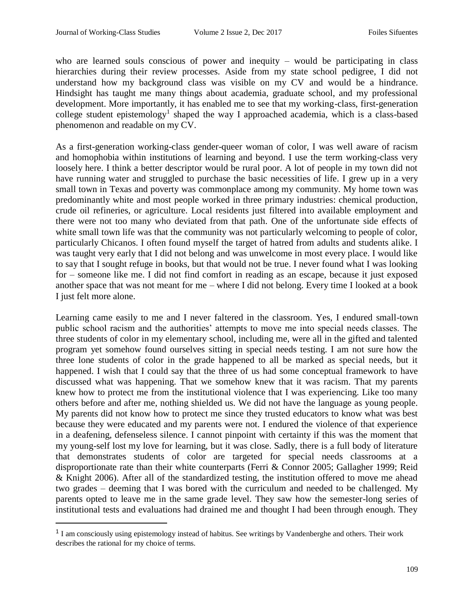$\overline{a}$ 

who are learned souls conscious of power and inequity – would be participating in class hierarchies during their review processes. Aside from my state school pedigree, I did not understand how my background class was visible on my CV and would be a hindrance. Hindsight has taught me many things about academia, graduate school, and my professional development. More importantly, it has enabled me to see that my working-class, first-generation college student epistemology<sup>1</sup> shaped the way I approached academia, which is a class-based phenomenon and readable on my CV.

As a first-generation working-class gender-queer woman of color, I was well aware of racism and homophobia within institutions of learning and beyond. I use the term working-class very loosely here. I think a better descriptor would be rural poor. A lot of people in my town did not have running water and struggled to purchase the basic necessities of life. I grew up in a very small town in Texas and poverty was commonplace among my community. My home town was predominantly white and most people worked in three primary industries: chemical production, crude oil refineries, or agriculture. Local residents just filtered into available employment and there were not too many who deviated from that path. One of the unfortunate side effects of white small town life was that the community was not particularly welcoming to people of color, particularly Chicanos. I often found myself the target of hatred from adults and students alike. I was taught very early that I did not belong and was unwelcome in most every place. I would like to say that I sought refuge in books, but that would not be true. I never found what I was looking for – someone like me. I did not find comfort in reading as an escape, because it just exposed another space that was not meant for me – where I did not belong. Every time I looked at a book I just felt more alone.

Learning came easily to me and I never faltered in the classroom. Yes, I endured small-town public school racism and the authorities' attempts to move me into special needs classes. The three students of color in my elementary school, including me, were all in the gifted and talented program yet somehow found ourselves sitting in special needs testing. I am not sure how the three lone students of color in the grade happened to all be marked as special needs, but it happened. I wish that I could say that the three of us had some conceptual framework to have discussed what was happening. That we somehow knew that it was racism. That my parents knew how to protect me from the institutional violence that I was experiencing. Like too many others before and after me, nothing shielded us. We did not have the language as young people. My parents did not know how to protect me since they trusted educators to know what was best because they were educated and my parents were not. I endured the violence of that experience in a deafening, defenseless silence. I cannot pinpoint with certainty if this was the moment that my young-self lost my love for learning, but it was close. Sadly, there is a full body of literature that demonstrates students of color are targeted for special needs classrooms at a disproportionate rate than their white counterparts (Ferri & Connor 2005; Gallagher 1999; Reid & Knight 2006). After all of the standardized testing, the institution offered to move me ahead two grades – deeming that I was bored with the curriculum and needed to be challenged. My parents opted to leave me in the same grade level. They saw how the semester-long series of institutional tests and evaluations had drained me and thought I had been through enough. They

<sup>&</sup>lt;sup>1</sup> I am consciously using epistemology instead of habitus. See writings by Vandenberghe and others. Their work describes the rational for my choice of terms.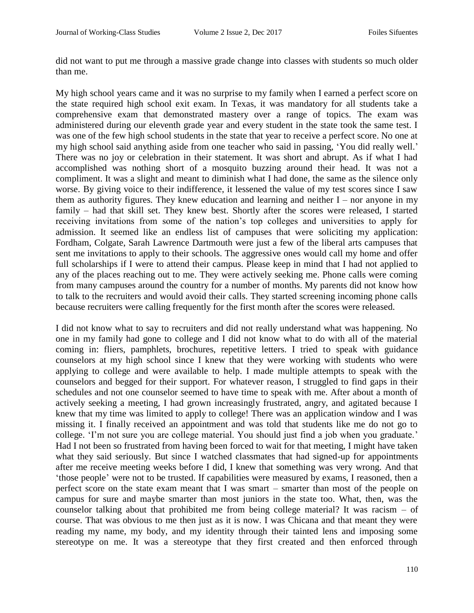did not want to put me through a massive grade change into classes with students so much older than me.

My high school years came and it was no surprise to my family when I earned a perfect score on the state required high school exit exam. In Texas, it was mandatory for all students take a comprehensive exam that demonstrated mastery over a range of topics. The exam was administered during our eleventh grade year and every student in the state took the same test. I was one of the few high school students in the state that year to receive a perfect score. No one at my high school said anything aside from one teacher who said in passing, 'You did really well.' There was no joy or celebration in their statement. It was short and abrupt. As if what I had accomplished was nothing short of a mosquito buzzing around their head. It was not a compliment. It was a slight and meant to diminish what I had done, the same as the silence only worse. By giving voice to their indifference, it lessened the value of my test scores since I saw them as authority figures. They knew education and learning and neither  $I$  – nor anyone in my family – had that skill set. They knew best. Shortly after the scores were released, I started receiving invitations from some of the nation's top colleges and universities to apply for admission. It seemed like an endless list of campuses that were soliciting my application: Fordham, Colgate, Sarah Lawrence Dartmouth were just a few of the liberal arts campuses that sent me invitations to apply to their schools. The aggressive ones would call my home and offer full scholarships if I were to attend their campus. Please keep in mind that I had not applied to any of the places reaching out to me. They were actively seeking me. Phone calls were coming from many campuses around the country for a number of months. My parents did not know how to talk to the recruiters and would avoid their calls. They started screening incoming phone calls because recruiters were calling frequently for the first month after the scores were released.

I did not know what to say to recruiters and did not really understand what was happening. No one in my family had gone to college and I did not know what to do with all of the material coming in: fliers, pamphlets, brochures, repetitive letters. I tried to speak with guidance counselors at my high school since I knew that they were working with students who were applying to college and were available to help. I made multiple attempts to speak with the counselors and begged for their support. For whatever reason, I struggled to find gaps in their schedules and not one counselor seemed to have time to speak with me. After about a month of actively seeking a meeting, I had grown increasingly frustrated, angry, and agitated because I knew that my time was limited to apply to college! There was an application window and I was missing it. I finally received an appointment and was told that students like me do not go to college. 'I'm not sure you are college material. You should just find a job when you graduate.' Had I not been so frustrated from having been forced to wait for that meeting, I might have taken what they said seriously. But since I watched classmates that had signed-up for appointments after me receive meeting weeks before I did, I knew that something was very wrong. And that 'those people' were not to be trusted. If capabilities were measured by exams, I reasoned, then a perfect score on the state exam meant that I was smart – smarter than most of the people on campus for sure and maybe smarter than most juniors in the state too. What, then, was the counselor talking about that prohibited me from being college material? It was racism – of course. That was obvious to me then just as it is now. I was Chicana and that meant they were reading my name, my body, and my identity through their tainted lens and imposing some stereotype on me. It was a stereotype that they first created and then enforced through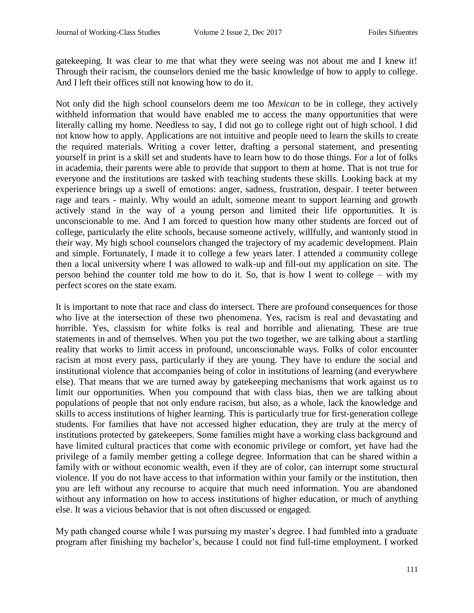gatekeeping. It was clear to me that what they were seeing was not about me and I knew it! Through their racism, the counselors denied me the basic knowledge of how to apply to college. And I left their offices still not knowing how to do it.

Not only did the high school counselors deem me too *Mexican* to be in college, they actively withheld information that would have enabled me to access the many opportunities that were literally calling my home. Needless to say, I did not go to college right out of high school. I did not know how to apply. Applications are not intuitive and people need to learn the skills to create the required materials. Writing a cover letter, drafting a personal statement, and presenting yourself in print is a skill set and students have to learn how to do those things. For a lot of folks in academia, their parents were able to provide that support to them at home. That is not true for everyone and the institutions are tasked with teaching students these skills. Looking back at my experience brings up a swell of emotions: anger, sadness, frustration, despair. I teeter between rage and tears - mainly. Why would an adult, someone meant to support learning and growth actively stand in the way of a young person and limited their life opportunities. It is unconscionable to me. And I am forced to question how many other students are forced out of college, particularly the elite schools, because someone actively, willfully, and wantonly stood in their way. My high school counselors changed the trajectory of my academic development. Plain and simple. Fortunately, I made it to college a few years later. I attended a community college then a local university where I was allowed to walk-up and fill-out my application on site. The person behind the counter told me how to do it. So, that is how I went to college – with my perfect scores on the state exam.

It is important to note that race and class do intersect. There are profound consequences for those who live at the intersection of these two phenomena. Yes, racism is real and devastating and horrible. Yes, classism for white folks is real and horrible and alienating. These are true statements in and of themselves. When you put the two together, we are talking about a startling reality that works to limit access in profound, unconscionable ways. Folks of color encounter racism at most every pass, particularly if they are young. They have to endure the social and institutional violence that accompanies being of color in institutions of learning (and everywhere else). That means that we are turned away by gatekeeping mechanisms that work against us to limit our opportunities. When you compound that with class bias, then we are talking about populations of people that not only endure racism, but also, as a whole, lack the knowledge and skills to access institutions of higher learning. This is particularly true for first-generation college students. For families that have not accessed higher education, they are truly at the mercy of institutions protected by gatekeepers. Some families might have a working class background and have limited cultural practices that come with economic privilege or comfort, yet have had the privilege of a family member getting a college degree. Information that can be shared within a family with or without economic wealth, even if they are of color, can interrupt some structural violence. If you do not have access to that information within your family or the institution, then you are left without any recourse to acquire that much need information. You are abandoned without any information on how to access institutions of higher education, or much of anything else. It was a vicious behavior that is not often discussed or engaged.

My path changed course while I was pursuing my master's degree. I had fumbled into a graduate program after finishing my bachelor's, because I could not find full-time employment. I worked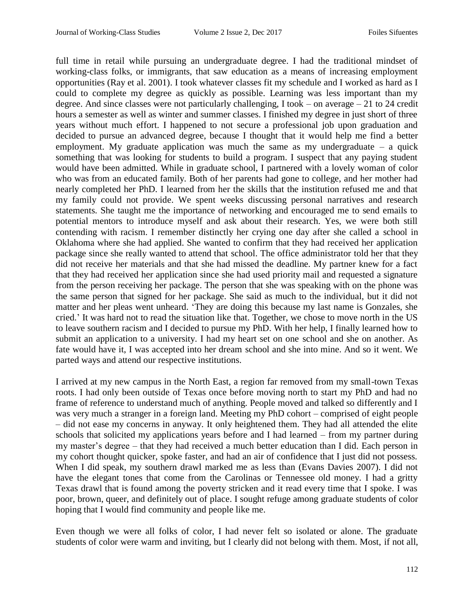full time in retail while pursuing an undergraduate degree. I had the traditional mindset of working-class folks, or immigrants, that saw education as a means of increasing employment opportunities (Ray et al. 2001). I took whatever classes fit my schedule and I worked as hard as I could to complete my degree as quickly as possible. Learning was less important than my degree. And since classes were not particularly challenging, I took – on average – 21 to 24 credit hours a semester as well as winter and summer classes. I finished my degree in just short of three years without much effort. I happened to not secure a professional job upon graduation and decided to pursue an advanced degree, because I thought that it would help me find a better employment. My graduate application was much the same as my undergraduate  $-$  a quick something that was looking for students to build a program. I suspect that any paying student would have been admitted. While in graduate school, I partnered with a lovely woman of color who was from an educated family. Both of her parents had gone to college, and her mother had nearly completed her PhD. I learned from her the skills that the institution refused me and that my family could not provide. We spent weeks discussing personal narratives and research statements. She taught me the importance of networking and encouraged me to send emails to potential mentors to introduce myself and ask about their research. Yes, we were both still contending with racism. I remember distinctly her crying one day after she called a school in Oklahoma where she had applied. She wanted to confirm that they had received her application package since she really wanted to attend that school. The office administrator told her that they did not receive her materials and that she had missed the deadline. My partner knew for a fact that they had received her application since she had used priority mail and requested a signature from the person receiving her package. The person that she was speaking with on the phone was the same person that signed for her package. She said as much to the individual, but it did not matter and her pleas went unheard. 'They are doing this because my last name is Gonzales, she cried.' It was hard not to read the situation like that. Together, we chose to move north in the US to leave southern racism and I decided to pursue my PhD. With her help, I finally learned how to submit an application to a university. I had my heart set on one school and she on another. As fate would have it, I was accepted into her dream school and she into mine. And so it went. We parted ways and attend our respective institutions.

I arrived at my new campus in the North East, a region far removed from my small-town Texas roots. I had only been outside of Texas once before moving north to start my PhD and had no frame of reference to understand much of anything. People moved and talked so differently and I was very much a stranger in a foreign land. Meeting my PhD cohort – comprised of eight people – did not ease my concerns in anyway. It only heightened them. They had all attended the elite schools that solicited my applications years before and I had learned – from my partner during my master's degree – that they had received a much better education than I did. Each person in my cohort thought quicker, spoke faster, and had an air of confidence that I just did not possess. When I did speak, my southern drawl marked me as less than (Evans Davies 2007). I did not have the elegant tones that come from the Carolinas or Tennessee old money. I had a gritty Texas drawl that is found among the poverty stricken and it read every time that I spoke. I was poor, brown, queer, and definitely out of place. I sought refuge among graduate students of color hoping that I would find community and people like me.

Even though we were all folks of color, I had never felt so isolated or alone. The graduate students of color were warm and inviting, but I clearly did not belong with them. Most, if not all,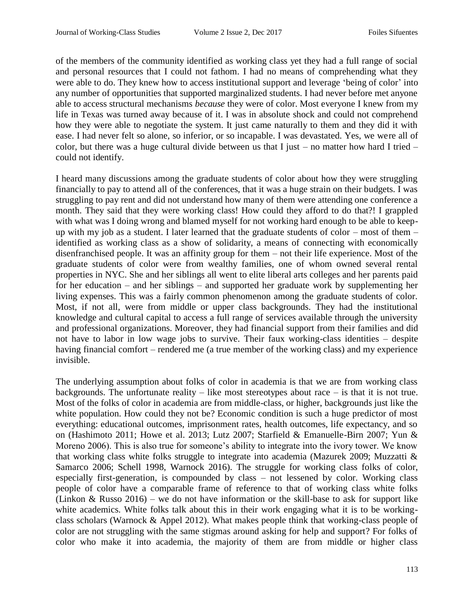of the members of the community identified as working class yet they had a full range of social and personal resources that I could not fathom. I had no means of comprehending what they were able to do. They knew how to access institutional support and leverage 'being of color' into any number of opportunities that supported marginalized students. I had never before met anyone able to access structural mechanisms *because* they were of color. Most everyone I knew from my life in Texas was turned away because of it. I was in absolute shock and could not comprehend how they were able to negotiate the system. It just came naturally to them and they did it with ease. I had never felt so alone, so inferior, or so incapable. I was devastated. Yes, we were all of color, but there was a huge cultural divide between us that I just – no matter how hard I tried – could not identify.

I heard many discussions among the graduate students of color about how they were struggling financially to pay to attend all of the conferences, that it was a huge strain on their budgets. I was struggling to pay rent and did not understand how many of them were attending one conference a month. They said that they were working class! How could they afford to do that?! I grappled with what was I doing wrong and blamed myself for not working hard enough to be able to keepup with my job as a student. I later learned that the graduate students of color – most of them – identified as working class as a show of solidarity, a means of connecting with economically disenfranchised people. It was an affinity group for them – not their life experience. Most of the graduate students of color were from wealthy families, one of whom owned several rental properties in NYC. She and her siblings all went to elite liberal arts colleges and her parents paid for her education – and her siblings – and supported her graduate work by supplementing her living expenses. This was a fairly common phenomenon among the graduate students of color. Most, if not all, were from middle or upper class backgrounds. They had the institutional knowledge and cultural capital to access a full range of services available through the university and professional organizations. Moreover, they had financial support from their families and did not have to labor in low wage jobs to survive. Their faux working-class identities – despite having financial comfort – rendered me (a true member of the working class) and my experience invisible.

The underlying assumption about folks of color in academia is that we are from working class backgrounds. The unfortunate reality – like most stereotypes about race – is that it is not true. Most of the folks of color in academia are from middle-class, or higher, backgrounds just like the white population. How could they not be? Economic condition is such a huge predictor of most everything: educational outcomes, imprisonment rates, health outcomes, life expectancy, and so on (Hashimoto 2011; Howe et al. 2013; Lutz 2007; Starfield & Emanuelle-Birn 2007; Yun & Moreno 2006). This is also true for someone's ability to integrate into the ivory tower. We know that working class white folks struggle to integrate into academia (Mazurek 2009; Muzzatti & Samarco 2006; Schell 1998, Warnock 2016). The struggle for working class folks of color, especially first-generation, is compounded by class – not lessened by color. Working class people of color have a comparable frame of reference to that of working class white folks (Linkon & Russo 2016) – we do not have information or the skill-base to ask for support like white academics. White folks talk about this in their work engaging what it is to be workingclass scholars (Warnock & Appel 2012). What makes people think that working-class people of color are not struggling with the same stigmas around asking for help and support? For folks of color who make it into academia, the majority of them are from middle or higher class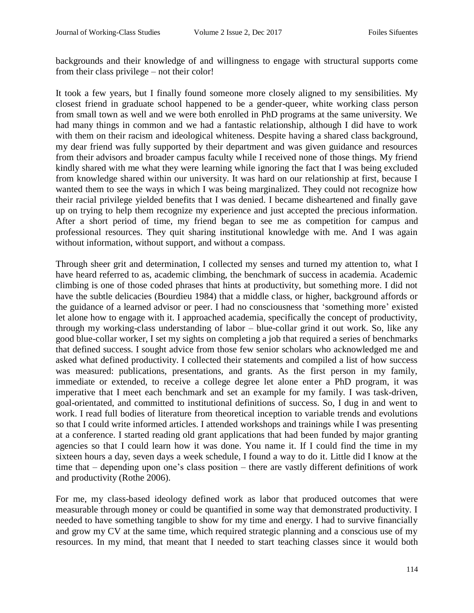backgrounds and their knowledge of and willingness to engage with structural supports come from their class privilege – not their color!

It took a few years, but I finally found someone more closely aligned to my sensibilities. My closest friend in graduate school happened to be a gender-queer, white working class person from small town as well and we were both enrolled in PhD programs at the same university. We had many things in common and we had a fantastic relationship, although I did have to work with them on their racism and ideological whiteness. Despite having a shared class background, my dear friend was fully supported by their department and was given guidance and resources from their advisors and broader campus faculty while I received none of those things. My friend kindly shared with me what they were learning while ignoring the fact that I was being excluded from knowledge shared within our university. It was hard on our relationship at first, because I wanted them to see the ways in which I was being marginalized. They could not recognize how their racial privilege yielded benefits that I was denied. I became disheartened and finally gave up on trying to help them recognize my experience and just accepted the precious information. After a short period of time, my friend began to see me as competition for campus and professional resources. They quit sharing institutional knowledge with me. And I was again without information, without support, and without a compass.

Through sheer grit and determination, I collected my senses and turned my attention to, what I have heard referred to as, academic climbing, the benchmark of success in academia. Academic climbing is one of those coded phrases that hints at productivity, but something more. I did not have the subtle delicacies (Bourdieu 1984) that a middle class, or higher, background affords or the guidance of a learned advisor or peer. I had no consciousness that 'something more' existed let alone how to engage with it. I approached academia, specifically the concept of productivity, through my working-class understanding of labor – blue-collar grind it out work. So, like any good blue-collar worker, I set my sights on completing a job that required a series of benchmarks that defined success. I sought advice from those few senior scholars who acknowledged me and asked what defined productivity. I collected their statements and compiled a list of how success was measured: publications, presentations, and grants. As the first person in my family, immediate or extended, to receive a college degree let alone enter a PhD program, it was imperative that I meet each benchmark and set an example for my family. I was task-driven, goal-orientated, and committed to institutional definitions of success. So, I dug in and went to work. I read full bodies of literature from theoretical inception to variable trends and evolutions so that I could write informed articles. I attended workshops and trainings while I was presenting at a conference. I started reading old grant applications that had been funded by major granting agencies so that I could learn how it was done. You name it. If I could find the time in my sixteen hours a day, seven days a week schedule, I found a way to do it. Little did I know at the time that – depending upon one's class position – there are vastly different definitions of work and productivity (Rothe 2006).

For me, my class-based ideology defined work as labor that produced outcomes that were measurable through money or could be quantified in some way that demonstrated productivity. I needed to have something tangible to show for my time and energy. I had to survive financially and grow my CV at the same time, which required strategic planning and a conscious use of my resources. In my mind, that meant that I needed to start teaching classes since it would both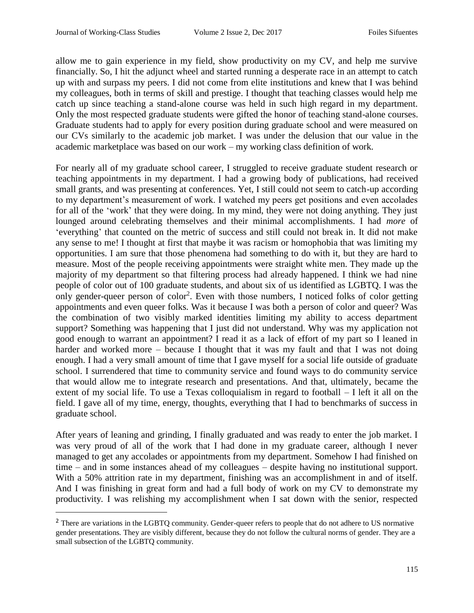$\overline{a}$ 

allow me to gain experience in my field, show productivity on my CV, and help me survive financially. So, I hit the adjunct wheel and started running a desperate race in an attempt to catch up with and surpass my peers. I did not come from elite institutions and knew that I was behind my colleagues, both in terms of skill and prestige. I thought that teaching classes would help me catch up since teaching a stand-alone course was held in such high regard in my department. Only the most respected graduate students were gifted the honor of teaching stand-alone courses. Graduate students had to apply for every position during graduate school and were measured on our CVs similarly to the academic job market. I was under the delusion that our value in the academic marketplace was based on our work – my working class definition of work.

For nearly all of my graduate school career, I struggled to receive graduate student research or teaching appointments in my department. I had a growing body of publications, had received small grants, and was presenting at conferences. Yet, I still could not seem to catch-up according to my department's measurement of work. I watched my peers get positions and even accolades for all of the 'work' that they were doing. In my mind, they were not doing anything. They just lounged around celebrating themselves and their minimal accomplishments. I had *more* of 'everything' that counted on the metric of success and still could not break in. It did not make any sense to me! I thought at first that maybe it was racism or homophobia that was limiting my opportunities. I am sure that those phenomena had something to do with it, but they are hard to measure. Most of the people receiving appointments were straight white men. They made up the majority of my department so that filtering process had already happened. I think we had nine people of color out of 100 graduate students, and about six of us identified as LGBTQ. I was the only gender-queer person of color<sup>2</sup>. Even with those numbers, I noticed folks of color getting appointments and even queer folks. Was it because I was both a person of color and queer? Was the combination of two visibly marked identities limiting my ability to access department support? Something was happening that I just did not understand. Why was my application not good enough to warrant an appointment? I read it as a lack of effort of my part so I leaned in harder and worked more – because I thought that it was my fault and that I was not doing enough. I had a very small amount of time that I gave myself for a social life outside of graduate school. I surrendered that time to community service and found ways to do community service that would allow me to integrate research and presentations. And that, ultimately, became the extent of my social life. To use a Texas colloquialism in regard to football – I left it all on the field. I gave all of my time, energy, thoughts, everything that I had to benchmarks of success in graduate school.

After years of leaning and grinding, I finally graduated and was ready to enter the job market. I was very proud of all of the work that I had done in my graduate career, although I never managed to get any accolades or appointments from my department. Somehow I had finished on time – and in some instances ahead of my colleagues – despite having no institutional support. With a 50% attrition rate in my department, finishing was an accomplishment in and of itself. And I was finishing in great form and had a full body of work on my CV to demonstrate my productivity. I was relishing my accomplishment when I sat down with the senior, respected

<sup>&</sup>lt;sup>2</sup> There are variations in the LGBTQ community. Gender-queer refers to people that do not adhere to US normative gender presentations. They are visibly different, because they do not follow the cultural norms of gender. They are a small subsection of the LGBTQ community.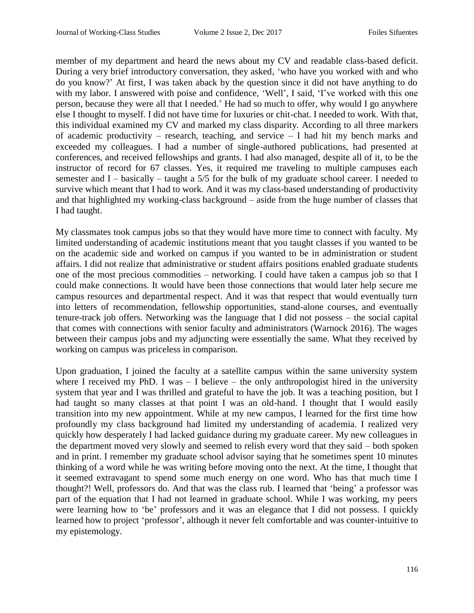member of my department and heard the news about my CV and readable class-based deficit. During a very brief introductory conversation, they asked, 'who have you worked with and who do you know?' At first, I was taken aback by the question since it did not have anything to do with my labor. I answered with poise and confidence, 'Well', I said, 'I've worked with this one person, because they were all that I needed.' He had so much to offer, why would I go anywhere else I thought to myself. I did not have time for luxuries or chit-chat. I needed to work. With that, this individual examined my CV and marked my class disparity. According to all three markers of academic productivity – research, teaching, and service – I had hit my bench marks and exceeded my colleagues. I had a number of single-authored publications, had presented at conferences, and received fellowships and grants. I had also managed, despite all of it, to be the instructor of record for 67 classes. Yes, it required me traveling to multiple campuses each semester and I – basically – taught a 5/5 for the bulk of my graduate school career. I needed to survive which meant that I had to work. And it was my class-based understanding of productivity and that highlighted my working-class background – aside from the huge number of classes that I had taught.

My classmates took campus jobs so that they would have more time to connect with faculty. My limited understanding of academic institutions meant that you taught classes if you wanted to be on the academic side and worked on campus if you wanted to be in administration or student affairs. I did not realize that administrative or student affairs positions enabled graduate students one of the most precious commodities – networking. I could have taken a campus job so that I could make connections. It would have been those connections that would later help secure me campus resources and departmental respect. And it was that respect that would eventually turn into letters of recommendation, fellowship opportunities, stand-alone courses, and eventually tenure-track job offers. Networking was the language that I did not possess – the social capital that comes with connections with senior faculty and administrators (Warnock 2016). The wages between their campus jobs and my adjuncting were essentially the same. What they received by working on campus was priceless in comparison.

Upon graduation, I joined the faculty at a satellite campus within the same university system where I received my PhD. I was  $-$  I believe  $-$  the only anthropologist hired in the university system that year and I was thrilled and grateful to have the job. It was a teaching position, but I had taught so many classes at that point I was an old-hand. I thought that I would easily transition into my new appointment. While at my new campus, I learned for the first time how profoundly my class background had limited my understanding of academia. I realized very quickly how desperately I had lacked guidance during my graduate career. My new colleagues in the department moved very slowly and seemed to relish every word that they said – both spoken and in print. I remember my graduate school advisor saying that he sometimes spent 10 minutes thinking of a word while he was writing before moving onto the next. At the time, I thought that it seemed extravagant to spend some much energy on one word. Who has that much time I thought?! Well, professors do. And that was the class rub. I learned that 'being' a professor was part of the equation that I had not learned in graduate school. While I was working, my peers were learning how to 'be' professors and it was an elegance that I did not possess. I quickly learned how to project 'professor', although it never felt comfortable and was counter-intuitive to my epistemology.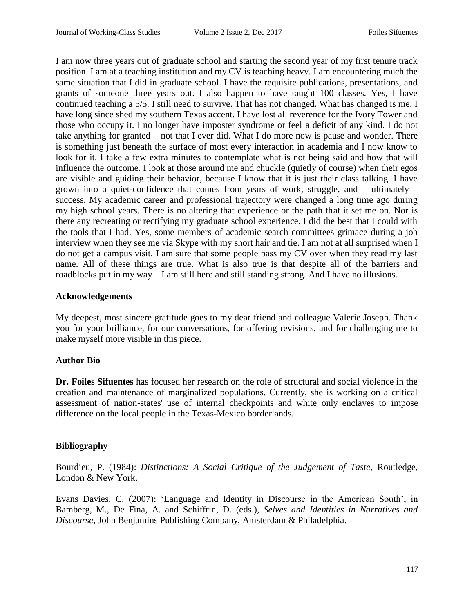I am now three years out of graduate school and starting the second year of my first tenure track position. I am at a teaching institution and my CV is teaching heavy. I am encountering much the same situation that I did in graduate school. I have the requisite publications, presentations, and grants of someone three years out. I also happen to have taught 100 classes. Yes, I have continued teaching a 5/5. I still need to survive. That has not changed. What has changed is me. I have long since shed my southern Texas accent. I have lost all reverence for the Ivory Tower and those who occupy it. I no longer have imposter syndrome or feel a deficit of any kind. I do not take anything for granted – not that I ever did. What I do more now is pause and wonder. There is something just beneath the surface of most every interaction in academia and I now know to look for it. I take a few extra minutes to contemplate what is not being said and how that will influence the outcome. I look at those around me and chuckle (quietly of course) when their egos are visible and guiding their behavior, because I know that it is just their class talking. I have grown into a quiet-confidence that comes from years of work, struggle, and – ultimately – success. My academic career and professional trajectory were changed a long time ago during my high school years. There is no altering that experience or the path that it set me on. Nor is there any recreating or rectifying my graduate school experience. I did the best that I could with the tools that I had. Yes, some members of academic search committees grimace during a job interview when they see me via Skype with my short hair and tie. I am not at all surprised when I do not get a campus visit. I am sure that some people pass my CV over when they read my last name. All of these things are true. What is also true is that despite all of the barriers and roadblocks put in my way – I am still here and still standing strong. And I have no illusions.

# **Acknowledgements**

My deepest, most sincere gratitude goes to my dear friend and colleague Valerie Joseph. Thank you for your brilliance, for our conversations, for offering revisions, and for challenging me to make myself more visible in this piece.

# **Author Bio**

**Dr. Foiles Sifuentes** has focused her research on the role of structural and social violence in the creation and maintenance of marginalized populations. Currently, she is working on a critical assessment of nation-states' use of internal checkpoints and white only enclaves to impose difference on the local people in the Texas-Mexico borderlands.

# **Bibliography**

Bourdieu, P. (1984): *Distinctions: A Social Critique of the Judgement of Taste*, Routledge, London & New York.

Evans Davies, C. (2007): 'Language and Identity in Discourse in the American South', in Bamberg, M., De Fina, A. and Schiffrin, D. (eds.), *Selves and Identities in Narratives and Discourse*, John Benjamins Publishing Company, Amsterdam & Philadelphia.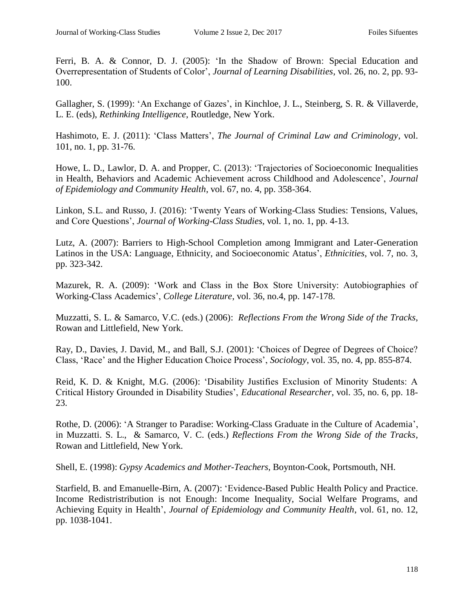Ferri, B. A. & Connor, D. J. (2005): 'In the Shadow of Brown: Special Education and Overrepresentation of Students of Color', *Journal of Learning Disabilities*, vol. 26, no. 2, pp. 93- 100.

Gallagher, S. (1999): 'An Exchange of Gazes', in Kinchloe, J. L., Steinberg, S. R. & Villaverde, L. E. (eds), *Rethinking Intelligence*, Routledge, New York.

Hashimoto, E. J. (2011): 'Class Matters', *The Journal of Criminal Law and Criminology*, vol. 101, no. 1, pp. 31-76.

Howe, L. D., Lawlor, D. A. and Propper, C. (2013): 'Trajectories of Socioeconomic Inequalities in Health, Behaviors and Academic Achievement across Childhood and Adolescence', *Journal of Epidemiology and Community Health*, vol. 67, no. 4, pp. 358-364.

Linkon, S.L. and Russo, J. (2016): 'Twenty Years of Working-Class Studies: Tensions, Values, and Core Questions', *Journal of Working-Class Studies*, vol. 1, no. 1, pp. 4-13.

Lutz, A. (2007): Barriers to High-School Completion among Immigrant and Later-Generation Latinos in the USA: Language, Ethnicity, and Socioeconomic Atatus', *Ethnicities*, vol. 7, no. 3, pp. 323-342.

Mazurek, R. A. (2009): 'Work and Class in the Box Store University: Autobiographies of Working-Class Academics', *College Literature*, vol. 36, no.4, pp. 147-178.

Muzzatti, S. L. & Samarco, V.C. (eds.) (2006): *Reflections From the Wrong Side of the Tracks*, Rowan and Littlefield, New York.

Ray, D., Davies, J. David, M., and Ball, S.J. (2001): 'Choices of Degree of Degrees of Choice? Class, 'Race' and the Higher Education Choice Process', *Sociology*, vol. 35, no. 4, pp. 855-874.

Reid, K. D. & Knight, M.G. (2006): 'Disability Justifies Exclusion of Minority Students: A Critical History Grounded in Disability Studies', *Educational Researcher*, vol. 35, no. 6, pp. 18- 23.

Rothe, D. (2006): 'A Stranger to Paradise: Working-Class Graduate in the Culture of Academia', in Muzzatti. S. L., & Samarco, V. C. (eds.) *Reflections From the Wrong Side of the Tracks*, Rowan and Littlefield, New York.

Shell, E. (1998): *Gypsy Academics and Mother-Teachers*, Boynton-Cook, Portsmouth, NH.

Starfield, B. and Emanuelle-Birn, A. (2007): 'Evidence-Based Public Health Policy and Practice. Income Redistristribution is not Enough: Income Inequality, Social Welfare Programs, and Achieving Equity in Health', *Journal of Epidemiology and Community Health*, vol. 61, no. 12, pp. 1038-1041.